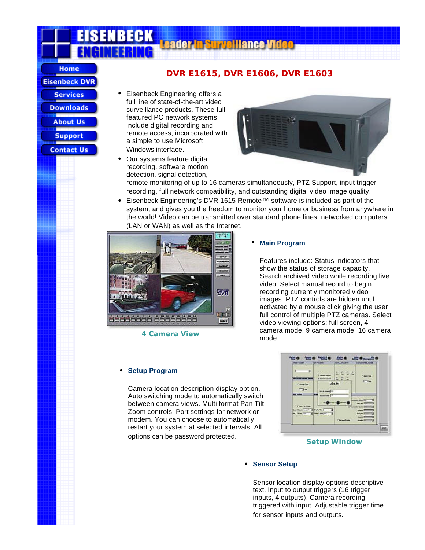# **DVR E1615, DVR E1606, DVR E1603**

- Eisenbeck Engineering offers a full line of state-of-the-art video surveillance products. These fullfeatured PC network systems include digital recording and remote access, incorporated with a simple to use Microsoft Windows interface.
- Our systems feature digital recording, software motion detection, signal detection,



remote monitoring of up to 16 cameras simultaneously, PTZ Support, input trigger recording, full network compatibility, and outstanding digital video image quality.

• Eisenbeck Engineering's DVR 1615 Remote™ software is included as part of the system, and gives you the freedom to monitor your home or business from anywhere in the world! Video can be transmitted over standard phone lines, networked computers (LAN or WAN) as well as the Internet.



*4 Camera View*

#### **Main Program**

Features include: Status indicators that show the status of storage capacity. Search archived video while recording live video. Select manual record to begin recording currently monitored video images. PTZ controls are hidden until activated by a mouse click giving the user full control of multiple PTZ cameras. Select video viewing options: full screen, 4 camera mode, 9 camera mode, 16 camera mode.

#### <sup>l</sup> **Setup Program**

Camera location description display option. Auto switching mode to automatically switch between camera views. Multi format Pan Tilt Zoom controls. Port settings for network or modem. You can choose to automatically restart your system at selected intervals. All options can be password protected.



#### *Setup Window*

#### **Sensor Setup**

Sensor location display options-descriptive text. Input to output triggers (16 trigger inputs, 4 outputs). Camera recording triggered with input. Adjustable trigger time for sensor inputs and outputs.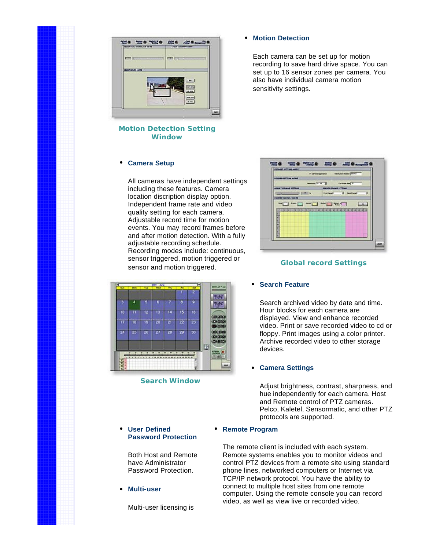

*Motion Detection Setting Window*

## <sup>l</sup> **Camera Setup**

All cameras have independent settings including these features. Camera location discription display option. Independent frame rate and video quality setting for each camera. Adjustable record time for motion events. You may record frames before and after motion detection. With a fully adiustable recording schedule. Recording modes include: continuous, sensor triggered, motion triggered or sensor and motion triggered. *Global record Settings*



*Search Window*

#### <sup>l</sup> **User Defined Password Protection**

Both Host and Remote have Administrator Password Protection.

## <sup>l</sup> **Multi-user**

Multi-user licensing is

## **Motion Detection**

Each camera can be set up for motion recording to save hard drive space. You can set up to 16 sensor zones per camera. You also have individual camera motion sensitivity settings.



#### **Search Feature**

Search archived video by date and time. Hour blocks for each camera are displayed. View and enhance recorded video. Print or save recorded video to cd or floppy. Print images using a color printer. Archive recorded video to other storage devices.

## <sup>l</sup> **Camera Settings**

Adjust brightness, contrast, sharpness, and hue independently for each camera. Host and Remote control of PTZ cameras. Pelco, Kaletel, Sensormatic, and other PTZ protocols are supported.

## <sup>l</sup> **Remote Program**

The remote client is included with each system. Remote systems enables you to monitor videos and control PTZ devices from a remote site using standard phone lines, networked computers or Internet via TCP/IP network protocol. You have the ability to connect to multiple host sites from one remote computer. Using the remote console you can record video, as well as view live or recorded video.